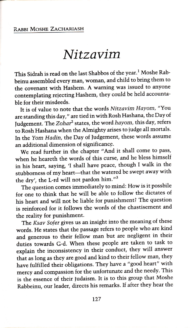## RABBI MOSHE ZACHARIASH

## Nitzavim

This Sidrah is read on the last Shabbos of the year.<sup>1</sup> Moshe Rabbeinu assembled every man, woman, and child to bring them to the covenant with Hashem. A warning was issued to anyone contemplating rejecting Hashem, they could be held accountable for their misdeeds.

It is of value to note that the words Nitzavim Hayom, "You are standing this day," are tied in with Rosh Hashana, the Day of Judgement. The Zohar<sup>2</sup> states, the word hayom, this day, refers to Rosh Hashana when the Almighty arises to judge all mortals. In the Yom Hadin, the Day of fudgement, these words assume an additional dimension of significance.

We read further in the chapter "And it shall come to pass, when he heareth the words of this curse, and he bless himself in his heart, saying, 'I shall have peace, though I walk in the stubborness of my heart-that the watered be swept away with the dry', the L-rd will not pardon him."3

The question comes immediately to mind: How is it possbile for one to think that he will be able to follow the dictates of his heart and will not be liable for punishment? The question is reinforced for it follows the words of the chastisement and the reality for punishment.

The Ksav Sofer gives us an insight into the meaning of these words. He states that the passage refers to people who are kind and generous to their fellow man but are negligent in their duties towards G-d. when these people are taken to task to explain the inconsistency in their conduct, they will answer that as long as they are good and kind to their fellow man, they have fulfilled their obligations. They have a "good heart" with mercy and compassion for the unfortunate and the needy. This is the essence of their fudaism. It is to this group that Moshe Rabbeinu, our leader, directs his remarks. If after they hear the